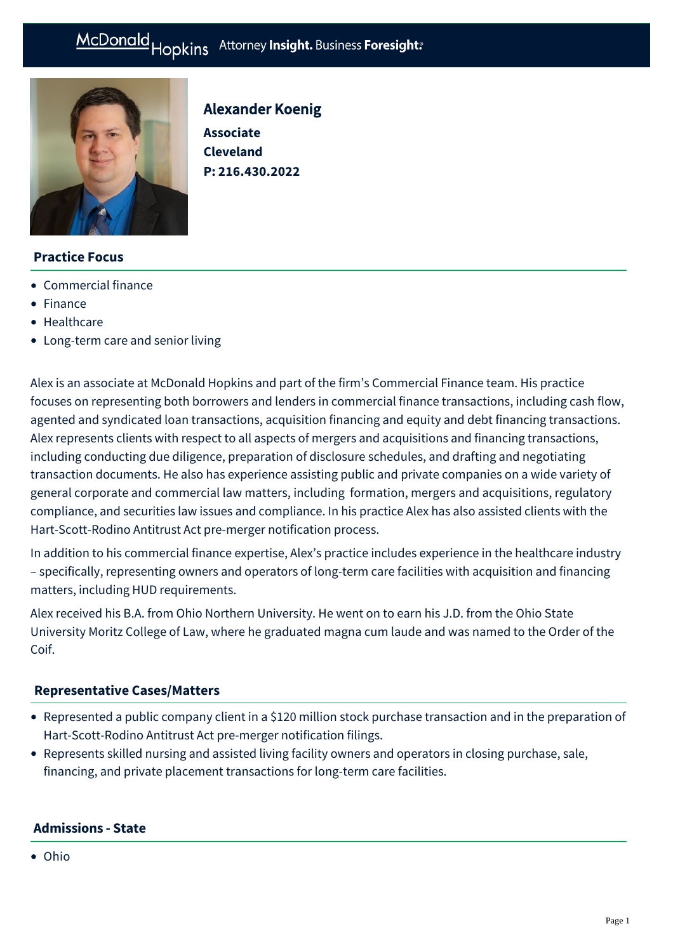

# Alexander Koenig **Associate Cleveland P: [216.430.2022](tel:216.430.2022)**

# **Practice Focus**

- [Commercial finance](https://mcdonaldhopkins.com/Expertise/Finance/Commercial-finance)
- [Finance](https://mcdonaldhopkins.com/Expertise/Finance)
- [Healthcare](https://mcdonaldhopkins.com/Expertise/Business-counseling/Business-Restart-Task-Force/Healthcare)
- [Long-term care and senior living](https://mcdonaldhopkins.com/Expertise/Healthcare/Long-term-care-and-senior-living)

Alex is an associate at McDonald Hopkins and part of the firm's Commercial Finance team. His practice focuses on representing both borrowers and lenders in commercial finance transactions, including cash flow, agented and syndicated loan transactions, acquisition financing and equity and debt financing transactions. Alex represents clients with respect to all aspects of mergers and acquisitions and financing transactions, including conducting due diligence, preparation of disclosure schedules, and drafting and negotiating transaction documents. He also has experience assisting public and private companies on a wide variety of general corporate and commercial law matters, including formation, mergers and acquisitions, regulatory compliance, and securities law issues and compliance. In his practice Alex has also assisted clients with the Hart-Scott-Rodino Antitrust Act pre-merger notification process.

In addition to his commercial finance expertise, Alex's practice includes experience in the healthcare industry – specifically, representing owners and operators of long-term care facilities with acquisition and financing matters, including HUD requirements.

Alex received his B.A. from Ohio Northern University. He went on to earn his J.D. from the Ohio State University Moritz College of Law, where he graduated magna cum laude and was named to the Order of the Coif.

## **[Representative Cases/Matters](#page-0-0)**

- <span id="page-0-0"></span>Represented a public company client in a \$120 million stock purchase transaction and in the preparation of Hart-Scott-Rodino Antitrust Act pre-merger notification filings.
- Represents skilled nursing and assisted living facility owners and operators in closing purchase, sale, financing, and private placement transactions for long-term care facilities.

## **Admissions - State**

Ohio